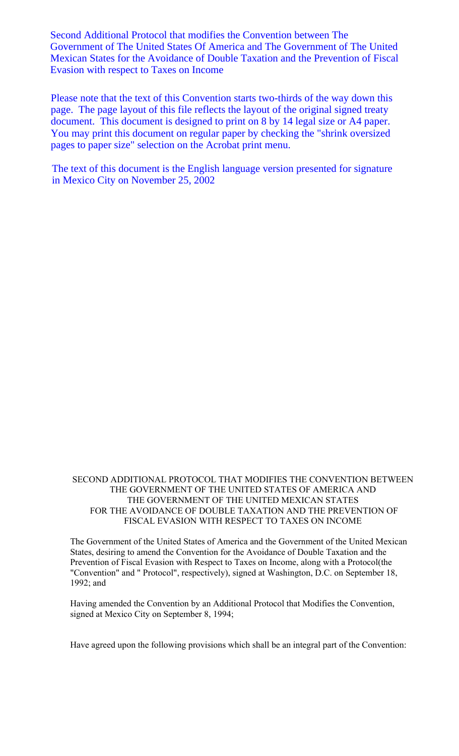Second Additional Protocol that modifies the Convention between The Government of The United States Of America and The Government of The United Mexican States for the Avoidance of Double Taxation and the Prevention of Fiscal Evasion with respect to Taxes on Income

Please note that the text of this Convention starts two-thirds of the way down this page. The page layout of this file reflects the layout of the original signed treaty document. This document is designed to print on 8 by 14 legal size or A4 paper. You may print this document on regular paper by checking the "shrink oversized pages to paper size" selection on the Acrobat print menu.

The text of this document is the English language version presented for signature in Mexico City on November 25, 2002

SECOND ADDITIONAL PROTOCOL THAT MODIFIES THE CONVENTION BETWEEN THE GOVERNMENT OF THE UNITED STATES OF AMERICA AND THE GOVERNMENT OF THE UNITED MEXICAN STATES FOR THE AVOIDANCE OF DOUBLE TAXATION AND THE PREVENTION OF FISCAL EVASION WITH RESPECT TO TAXES ON INCOME

The Government of the United States of America and the Government of the United Mexican States, desiring to amend the Convention for the Avoidance of Double Taxation and the Prevention of Fiscal Evasion with Respect to Taxes on Income, along with a Protocol(the "Convention" and " Protocol", respectively), signed at Washington, D.C. on September 18, 1992; and

Having amended the Convention by an Additional Protocol that Modifies the Convention, signed at Mexico City on September 8, 1994;

Have agreed upon the following provisions which shall be an integral part of the Convention: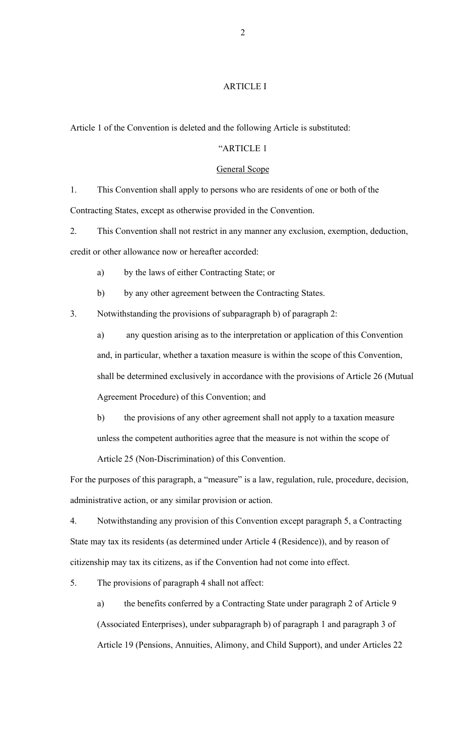## ARTICLE I

Article 1 of the Convention is deleted and the following Article is substituted:

# "ARTICLE 1

#### General Scope

1. This Convention shall apply to persons who are residents of one or both of the Contracting States, except as otherwise provided in the Convention.

2. This Convention shall not restrict in any manner any exclusion, exemption, deduction, credit or other allowance now or hereafter accorded:

a) by the laws of either Contracting State; or

b) by any other agreement between the Contracting States.

3. Notwithstanding the provisions of subparagraph b) of paragraph 2:

a) any question arising as to the interpretation or application of this Convention and, in particular, whether a taxation measure is within the scope of this Convention, shall be determined exclusively in accordance with the provisions of Article 26 (Mutual Agreement Procedure) of this Convention; and

b) the provisions of any other agreement shall not apply to a taxation measure unless the competent authorities agree that the measure is not within the scope of

Article 25 (Non-Discrimination) of this Convention.

For the purposes of this paragraph, a "measure" is a law, regulation, rule, procedure, decision, administrative action, or any similar provision or action.

4. Notwithstanding any provision of this Convention except paragraph 5, a Contracting State may tax its residents (as determined under Article 4 (Residence)), and by reason of citizenship may tax its citizens, as if the Convention had not come into effect.

5. The provisions of paragraph 4 shall not affect:

a) the benefits conferred by a Contracting State under paragraph 2 of Article 9 (Associated Enterprises), under subparagraph b) of paragraph 1 and paragraph 3 of Article 19 (Pensions, Annuities, Alimony, and Child Support), and under Articles 22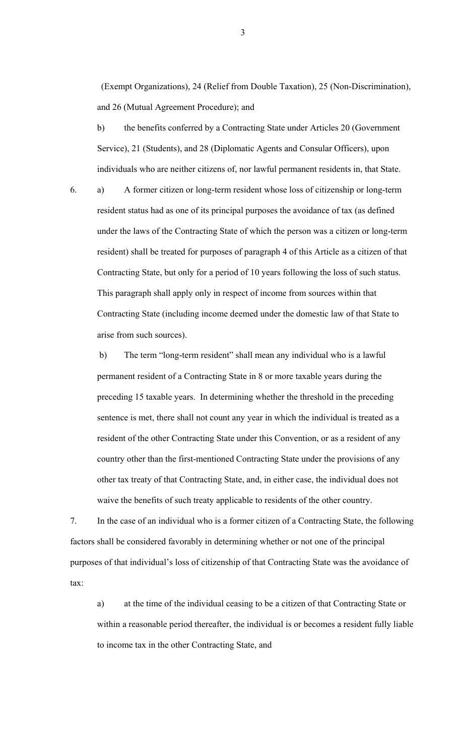(Exempt Organizations), 24 (Relief from Double Taxation), 25 (Non-Discrimination), and 26 (Mutual Agreement Procedure); and

b) the benefits conferred by a Contracting State under Articles 20 (Government Service), 21 (Students), and 28 (Diplomatic Agents and Consular Officers), upon individuals who are neither citizens of, nor lawful permanent residents in, that State.

6. a) A former citizen or long-term resident whose loss of citizenship or long-term resident status had as one of its principal purposes the avoidance of tax (as defined under the laws of the Contracting State of which the person was a citizen or long-term resident) shall be treated for purposes of paragraph 4 of this Article as a citizen of that Contracting State, but only for a period of 10 years following the loss of such status. This paragraph shall apply only in respect of income from sources within that Contracting State (including income deemed under the domestic law of that State to arise from such sources).

b) The term "long-term resident" shall mean any individual who is a lawful permanent resident of a Contracting State in 8 or more taxable years during the preceding 15 taxable years. In determining whether the threshold in the preceding sentence is met, there shall not count any year in which the individual is treated as a resident of the other Contracting State under this Convention, or as a resident of any country other than the first-mentioned Contracting State under the provisions of any other tax treaty of that Contracting State, and, in either case, the individual does not waive the benefits of such treaty applicable to residents of the other country.

7. In the case of an individual who is a former citizen of a Contracting State, the following factors shall be considered favorably in determining whether or not one of the principal purposes of that individual's loss of citizenship of that Contracting State was the avoidance of tax:

a) at the time of the individual ceasing to be a citizen of that Contracting State or within a reasonable period thereafter, the individual is or becomes a resident fully liable to income tax in the other Contracting State, and

3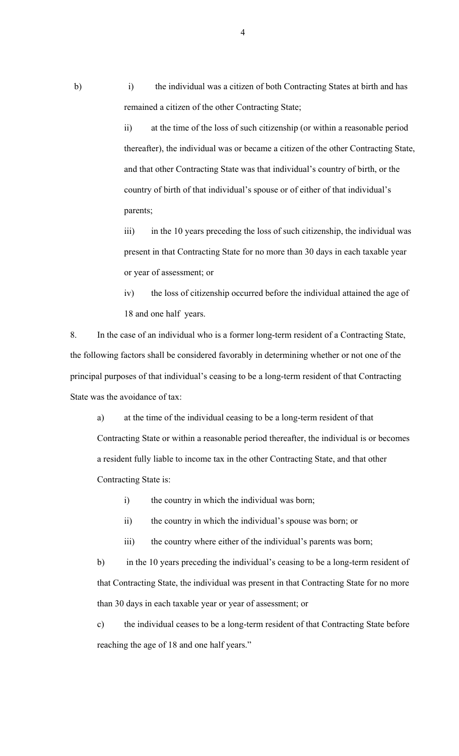b) i) the individual was a citizen of both Contracting States at birth and has remained a citizen of the other Contracting State;

> ii) at the time of the loss of such citizenship (or within a reasonable period thereafter), the individual was or became a citizen of the other Contracting State, and that other Contracting State was that individual's country of birth, or the country of birth of that individual's spouse or of either of that individual's parents;

iii) in the 10 years preceding the loss of such citizenship, the individual was present in that Contracting State for no more than 30 days in each taxable year or year of assessment; or

iv) the loss of citizenship occurred before the individual attained the age of 18 and one half years.

8. In the case of an individual who is a former long-term resident of a Contracting State, the following factors shall be considered favorably in determining whether or not one of the principal purposes of that individual's ceasing to be a long-term resident of that Contracting State was the avoidance of tax:

a) at the time of the individual ceasing to be a long-term resident of that Contracting State or within a reasonable period thereafter, the individual is or becomes a resident fully liable to income tax in the other Contracting State, and that other Contracting State is:

i) the country in which the individual was born;

ii) the country in which the individual's spouse was born; or

iii) the country where either of the individual's parents was born;

b) in the 10 years preceding the individual's ceasing to be a long-term resident of that Contracting State, the individual was present in that Contracting State for no more than 30 days in each taxable year or year of assessment; or

c) the individual ceases to be a long-term resident of that Contracting State before reaching the age of 18 and one half years."

4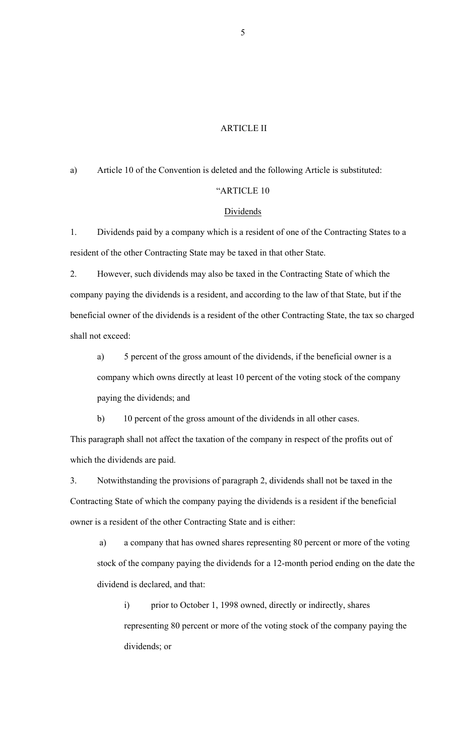#### ARTICLE II

a) Article 10 of the Convention is deleted and the following Article is substituted:

## "ARTICLE 10

# Dividends

1. Dividends paid by a company which is a resident of one of the Contracting States to a resident of the other Contracting State may be taxed in that other State.

2. However, such dividends may also be taxed in the Contracting State of which the company paying the dividends is a resident, and according to the law of that State, but if the beneficial owner of the dividends is a resident of the other Contracting State, the tax so charged shall not exceed:

a) 5 percent of the gross amount of the dividends, if the beneficial owner is a company which owns directly at least 10 percent of the voting stock of the company paying the dividends; and

b) 10 percent of the gross amount of the dividends in all other cases.

This paragraph shall not affect the taxation of the company in respect of the profits out of which the dividends are paid.

3. Notwithstanding the provisions of paragraph 2, dividends shall not be taxed in the Contracting State of which the company paying the dividends is a resident if the beneficial owner is a resident of the other Contracting State and is either:

a) a company that has owned shares representing 80 percent or more of the voting stock of the company paying the dividends for a 12-month period ending on the date the dividend is declared, and that:

i) prior to October 1, 1998 owned, directly or indirectly, shares representing 80 percent or more of the voting stock of the company paying the dividends; or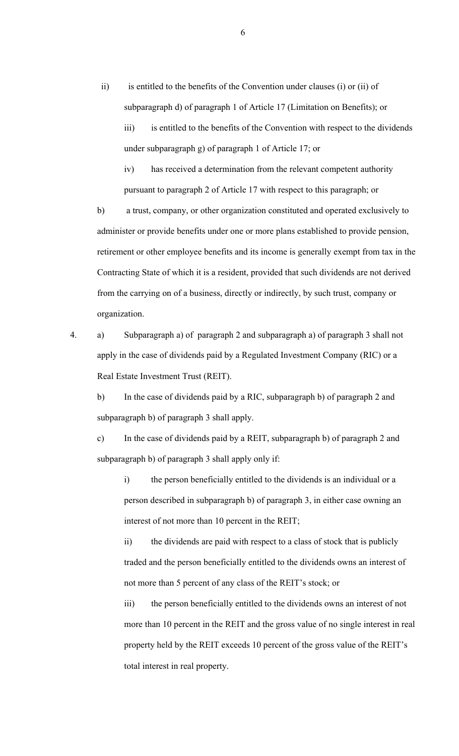- ii) is entitled to the benefits of the Convention under clauses (i) or (ii) of subparagraph d) of paragraph 1 of Article 17 (Limitation on Benefits); or
	- iii) is entitled to the benefits of the Convention with respect to the dividends under subparagraph g) of paragraph 1 of Article 17; or

iv) has received a determination from the relevant competent authority pursuant to paragraph 2 of Article 17 with respect to this paragraph; or

b) a trust, company, or other organization constituted and operated exclusively to administer or provide benefits under one or more plans established to provide pension, retirement or other employee benefits and its income is generally exempt from tax in the Contracting State of which it is a resident, provided that such dividends are not derived from the carrying on of a business, directly or indirectly, by such trust, company or organization.

4. a) Subparagraph a) of paragraph 2 and subparagraph a) of paragraph 3 shall not apply in the case of dividends paid by a Regulated Investment Company (RIC) or a Real Estate Investment Trust (REIT).

b) In the case of dividends paid by a RIC, subparagraph b) of paragraph 2 and subparagraph b) of paragraph 3 shall apply.

c) In the case of dividends paid by a REIT, subparagraph b) of paragraph 2 and subparagraph b) of paragraph 3 shall apply only if:

i) the person beneficially entitled to the dividends is an individual or a person described in subparagraph b) of paragraph 3, in either case owning an interest of not more than 10 percent in the REIT;

ii) the dividends are paid with respect to a class of stock that is publicly traded and the person beneficially entitled to the dividends owns an interest of not more than 5 percent of any class of the REIT's stock; or

iii) the person beneficially entitled to the dividends owns an interest of not more than 10 percent in the REIT and the gross value of no single interest in real property held by the REIT exceeds 10 percent of the gross value of the REIT's total interest in real property.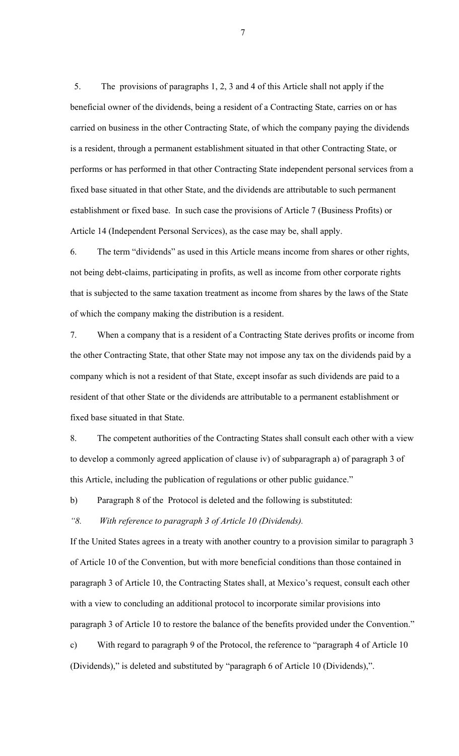5. The provisions of paragraphs 1, 2, 3 and 4 of this Article shall not apply if the beneficial owner of the dividends, being a resident of a Contracting State, carries on or has carried on business in the other Contracting State, of which the company paying the dividends is a resident, through a permanent establishment situated in that other Contracting State, or performs or has performed in that other Contracting State independent personal services from a fixed base situated in that other State, and the dividends are attributable to such permanent establishment or fixed base. In such case the provisions of Article 7 (Business Profits) or Article 14 (Independent Personal Services), as the case may be, shall apply.

6. The term "dividends" as used in this Article means income from shares or other rights, not being debt-claims, participating in profits, as well as income from other corporate rights that is subjected to the same taxation treatment as income from shares by the laws of the State of which the company making the distribution is a resident.

7. When a company that is a resident of a Contracting State derives profits or income from the other Contracting State, that other State may not impose any tax on the dividends paid by a company which is not a resident of that State, except insofar as such dividends are paid to a resident of that other State or the dividends are attributable to a permanent establishment or fixed base situated in that State.

8. The competent authorities of the Contracting States shall consult each other with a view to develop a commonly agreed application of clause iv) of subparagraph a) of paragraph 3 of this Article, including the publication of regulations or other public guidance."

b) Paragraph 8 of the Protocol is deleted and the following is substituted:

### *"8. With reference to paragraph 3 of Article 10 (Dividends).*

If the United States agrees in a treaty with another country to a provision similar to paragraph 3 of Article 10 of the Convention, but with more beneficial conditions than those contained in paragraph 3 of Article 10, the Contracting States shall, at Mexico's request, consult each other with a view to concluding an additional protocol to incorporate similar provisions into paragraph 3 of Article 10 to restore the balance of the benefits provided under the Convention."

c) With regard to paragraph 9 of the Protocol, the reference to "paragraph 4 of Article 10 (Dividends)," is deleted and substituted by "paragraph 6 of Article 10 (Dividends),".

7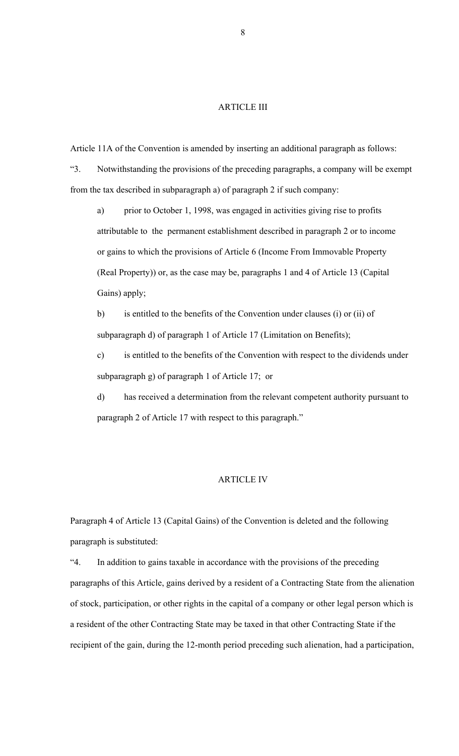### ARTICLE III

Article 11A of the Convention is amended by inserting an additional paragraph as follows:

"3. Notwithstanding the provisions of the preceding paragraphs, a company will be exempt from the tax described in subparagraph a) of paragraph 2 if such company:

a) prior to October 1, 1998, was engaged in activities giving rise to profits attributable to the permanent establishment described in paragraph 2 or to income or gains to which the provisions of Article 6 (Income From Immovable Property (Real Property)) or, as the case may be, paragraphs 1 and 4 of Article 13 (Capital Gains) apply;

b) is entitled to the benefits of the Convention under clauses (i) or (ii) of subparagraph d) of paragraph 1 of Article 17 (Limitation on Benefits);

c) is entitled to the benefits of the Convention with respect to the dividends under subparagraph g) of paragraph 1 of Article 17; or

d) has received a determination from the relevant competent authority pursuant to paragraph 2 of Article 17 with respect to this paragraph."

#### ARTICLE IV

Paragraph 4 of Article 13 (Capital Gains) of the Convention is deleted and the following paragraph is substituted:

"4. In addition to gains taxable in accordance with the provisions of the preceding paragraphs of this Article, gains derived by a resident of a Contracting State from the alienation of stock, participation, or other rights in the capital of a company or other legal person which is a resident of the other Contracting State may be taxed in that other Contracting State if the recipient of the gain, during the 12-month period preceding such alienation, had a participation,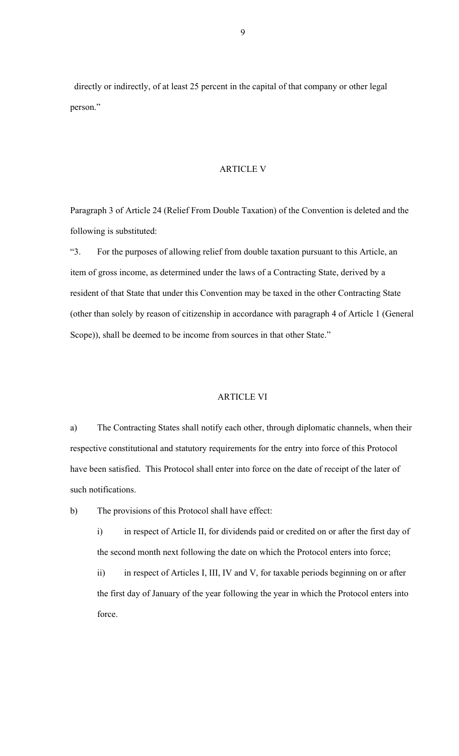directly or indirectly, of at least 25 percent in the capital of that company or other legal person."

#### ARTICLE V

Paragraph 3 of Article 24 (Relief From Double Taxation) of the Convention is deleted and the following is substituted:

"3. For the purposes of allowing relief from double taxation pursuant to this Article, an item of gross income, as determined under the laws of a Contracting State, derived by a resident of that State that under this Convention may be taxed in the other Contracting State (other than solely by reason of citizenship in accordance with paragraph 4 of Article 1 (General Scope)), shall be deemed to be income from sources in that other State."

### ARTICLE VI

a) The Contracting States shall notify each other, through diplomatic channels, when their respective constitutional and statutory requirements for the entry into force of this Protocol have been satisfied. This Protocol shall enter into force on the date of receipt of the later of such notifications.

b) The provisions of this Protocol shall have effect:

i) in respect of Article II, for dividends paid or credited on or after the first day of the second month next following the date on which the Protocol enters into force;

ii) in respect of Articles I, III, IV and V, for taxable periods beginning on or after the first day of January of the year following the year in which the Protocol enters into force.